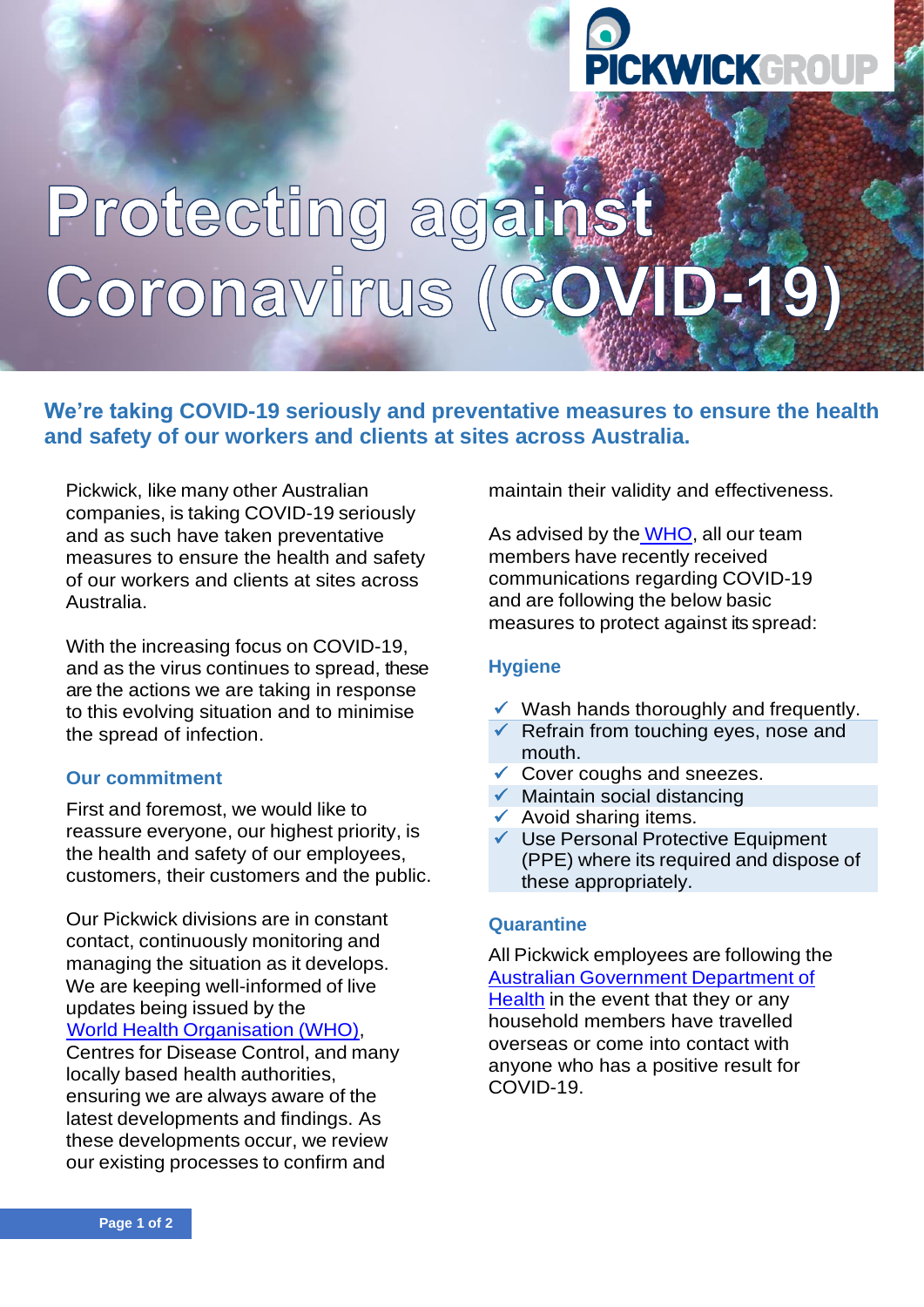# **CKWICKGROUP**

## Protecting against Coronavirus (CO) VID-19)

### **We're taking COVID-19 seriously and preventative measures to ensure the health and safety of our workers and clients at sites across Australia.**

Pickwick, like many other Australian companies, is taking COVID-19 seriously and as such have taken preventative measures to ensure the health and safety of our workers and clients at sites across Australia.

With the increasing focus on COVID-19, and as the virus continues to spread, these are the actions we are taking in response to this evolving situation and to minimise the spread of infection.

#### **Our commitment**

First and foremost, we would like to reassure everyone, our highest priority, is the health and safety of our employees, customers, their customers and the public.

Our Pickwick divisions are in constant contact, continuously monitoring and managing the situation as it develops. We are keeping well-informed of live updates being issued by the World Health [Organisation](https://www.who.int/) (WHO),

Centres for Disease Control, and many locally based health authorities, ensuring we are always aware of the latest developments and findings. As these developments occur, we review our existing processes to confirm and

maintain their validity and effectiveness.

As advised by the [WHO,](https://www.who.int/) all our team members have recently received communications regarding COVID-19 and are following the below basic measures to protect against its spread:

#### **Hygiene**

- ✓ Wash hands thoroughly and frequently.
- $\checkmark$  Refrain from touching eyes, nose and mouth.
- ✓ Cover coughs and sneezes.
- $\checkmark$  Maintain social distancing
- $\checkmark$  Avoid sharing items.
- ✓ Use Personal Protective Equipment (PPE) where its required and dispose of these appropriately.

#### **Quarantine**

All Pickwick employees are following th[e](https://www.health.gov.au/) Australian [Government](https://www.health.gov.au/) Department of [Health](https://www.health.gov.au/) in the event that they or any household members have travelled overseas or come into contact with anyone who has a positive result for COVID-19.